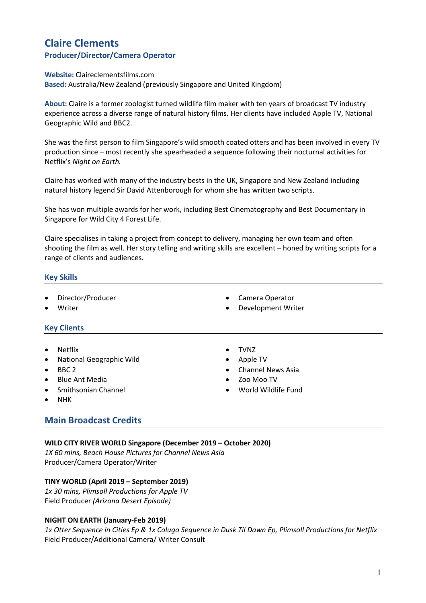# **Claire Clements Producer/Director/Camera Operator**

#### **Website:** Claireclementsfilms.com

**Based:** Australia/New Zealand (previously Singapore and United Kingdom)

**About:** Claire is a former zoologist turned wildlife film maker with ten years of broadcast TV industry experience across a diverse range of natural history films. Her clients have included Apple TV, National Geographic Wild and BBC2.

She was the first person to film Singapore's wild smooth coated otters and has been involved in every TV production since – most recently she spearheaded a sequence following their nocturnal activities for Netflix's *Night on Earth.*

Claire has worked with many of the industry bests in the UK, Singapore and New Zealand including natural history legend Sir David Attenborough for whom she has written two scripts.

She has won multiple awards for her work, including Best Cinematography and Best Documentary in Singapore for Wild City 4 Forest Life.

Claire specialises in taking a project from concept to delivery, managing her own team and often shooting the film as well. Her story telling and writing skills are excellent – honed by writing scripts for a range of clients and audiences.

# **Key Skills**

- Director/Producer
- **Writer**

# **Key Clients**

- **Netflix**
- National Geographic Wild
- BBC 2
- Blue Ant Media
- Smithsonian Channel
- NHK
- 
- TVNZ
- Apple TV
- Channel News Asia

Camera Operator Development Writer

- Zoo Moo TV
- World Wildlife Fund

# **Main Broadcast Credits**

# **WILD CITY RIVER WORLD Singapore (December 2019 – October 2020)**

*1X 60 mins, Beach House Pictures for Channel News Asia* Producer/Camera Operator/Writer

# **TINY WORLD (April 2019 – September 2019)**

*1x 30 mins, Plimsoll Productions for Apple TV*  Field Producer *(Arizona Desert Episode)*

# **NIGHT ON EARTH (January-Feb 2019)**

1x Otter Sequence in Cities Ep & 1x Colugo Sequence in Dusk Til Dawn Ep, Plimsoll Productions for Netflix Field Producer/Additional Camera/ Writer Consult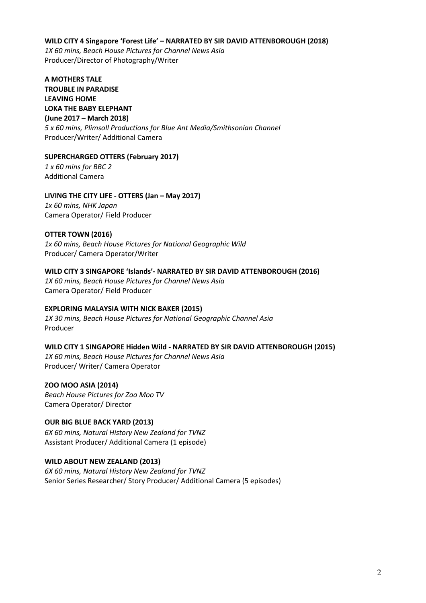#### **WILD CITY 4 Singapore 'Forest Life' – NARRATED BY SIR DAVID ATTENBOROUGH (2018)**

*1X 60 mins, Beach House Pictures for Channel News Asia* Producer/Director of Photography/Writer

**A MOTHERS TALE TROUBLE IN PARADISE LEAVING HOME LOKA THE BABY ELEPHANT (June 2017 – March 2018)** *5 x 60 mins, Plimsoll Productions for Blue Ant Media/Smithsonian Channel*  Producer/Writer/ Additional Camera

# **SUPERCHARGED OTTERS (February 2017)**

*1 x 60 mins for BBC 2* Additional Camera

# **LIVING THE CITY LIFE - OTTERS (Jan – May 2017)**

*1x 60 mins, NHK Japan* Camera Operator/ Field Producer

# **OTTER TOWN (2016)**

*1x 60 mins, Beach House Pictures for National Geographic Wild*  Producer/ Camera Operator/Writer

# **WILD CITY 3 SINGAPORE 'Islands'- NARRATED BY SIR DAVID ATTENBOROUGH (2016)**

*1X 60 mins, Beach House Pictures for Channel News Asia* Camera Operator/ Field Producer

#### **EXPLORING MALAYSIA WITH NICK BAKER (2015)**

*1X 30 mins, Beach House Pictures for National Geographic Channel Asia* Producer

#### **WILD CITY 1 SINGAPORE Hidden Wild - NARRATED BY SIR DAVID ATTENBOROUGH (2015)**

*1X 60 mins, Beach House Pictures for Channel News Asia* Producer/ Writer/ Camera Operator

#### **ZOO MOO ASIA (2014)**

*Beach House Pictures for Zoo Moo TV* Camera Operator/ Director

#### **OUR BIG BLUE BACK YARD (2013)**

*6X 60 mins, Natural History New Zealand for TVNZ* Assistant Producer/ Additional Camera (1 episode)

#### **WILD ABOUT NEW ZEALAND (2013)**

*6X 60 mins, Natural History New Zealand for TVNZ* Senior Series Researcher/ Story Producer/ Additional Camera (5 episodes)